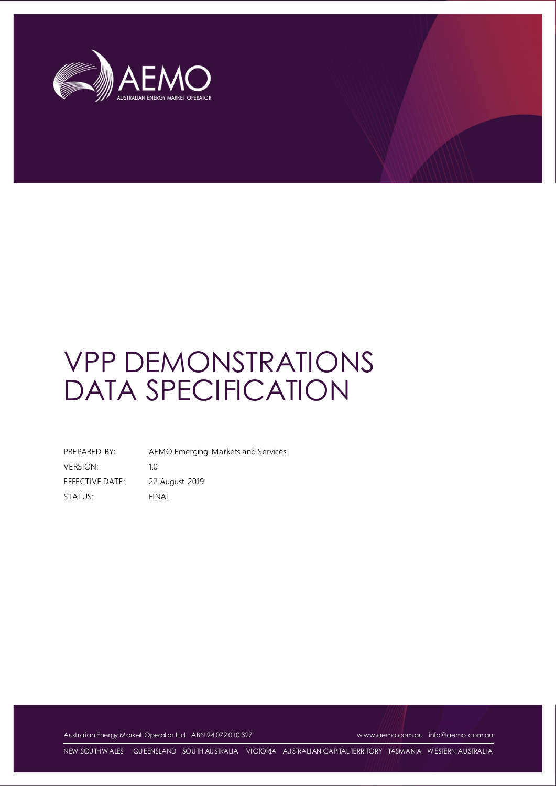

# VPP DEMONSTRATIONS DATA SPECIFICATION

PREPARED BY: AEMO Emerging Markets and Services VERSION: 1.0 EFFECTIVE DATE: 22 August 2019 STATUS: FINAL

Australian Energy Market Operator Ltd ABN 94 072 010 327 [w ww.aemo.com.au](http://www.aemo.com.au/) [info@aemo.com.au](mailto:info@aemo.com.au)

NEW SOUTH W ALES QUEENSLAND SOUTH AUSTRALIA VICTORIA AUSTRALIAN CAPITAL TERRITORY TASMANIA W ESTERN AUSTRALIA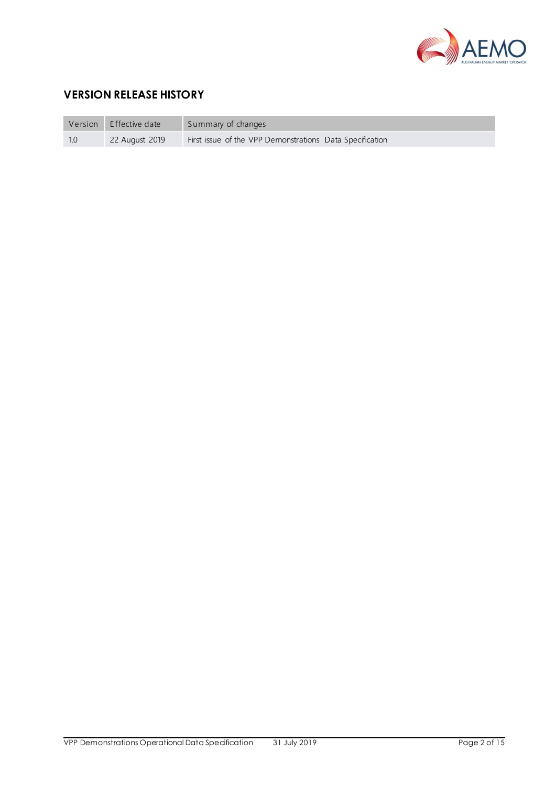

# **VERSION RELEASE HISTORY**

| Version | Effective date | Summary of changes                                       |
|---------|----------------|----------------------------------------------------------|
| 1.0     | 22 August 2019 | First issue of the VPP Demonstrations Data Specification |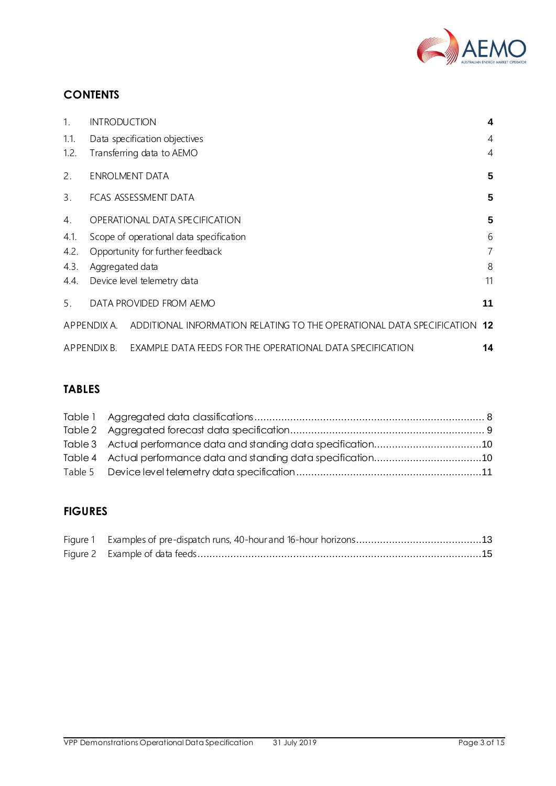

# **CONTENTS**

| 1.   | <b>INTRODUCTION</b>                                                                  | $\overline{\mathbf{4}}$ |
|------|--------------------------------------------------------------------------------------|-------------------------|
| 1.1. | Data specification objectives                                                        | $\overline{4}$          |
| 1.2. | Transferring data to AEMO                                                            | $\overline{4}$          |
| 2.   | <b>ENROLMENT DATA</b>                                                                | 5                       |
| 3.   | FCAS ASSESSMENT DATA                                                                 | 5                       |
| 4.   | OPERATIONAL DATA SPECIFICATION                                                       | 5                       |
| 4.1. | Scope of operational data specification                                              | 6                       |
| 4.2. | Opportunity for further feedback                                                     | 7                       |
| 4.3. | Aggregated data                                                                      | 8                       |
| 4.4. | Device level telemetry data                                                          | 11                      |
| 5.   | DATA PROVIDED FROM AEMO                                                              | 11                      |
|      | ADDITIONAL INFORMATION RELATING TO THE OPERATIONAL DATA SPECIFICATION<br>APPENDIX A. | 12                      |
|      | EXAMPLE DATA FEEDS FOR THE OPERATIONAL DATA SPECIFICATION<br>APPENDIX B.             | 14                      |

## **TABLES**

| Table 3 Actual performance data and standing data specification10 |  |
|-------------------------------------------------------------------|--|
| Table 4 Actual performance data and standing data specification10 |  |
|                                                                   |  |

# **FIGURES**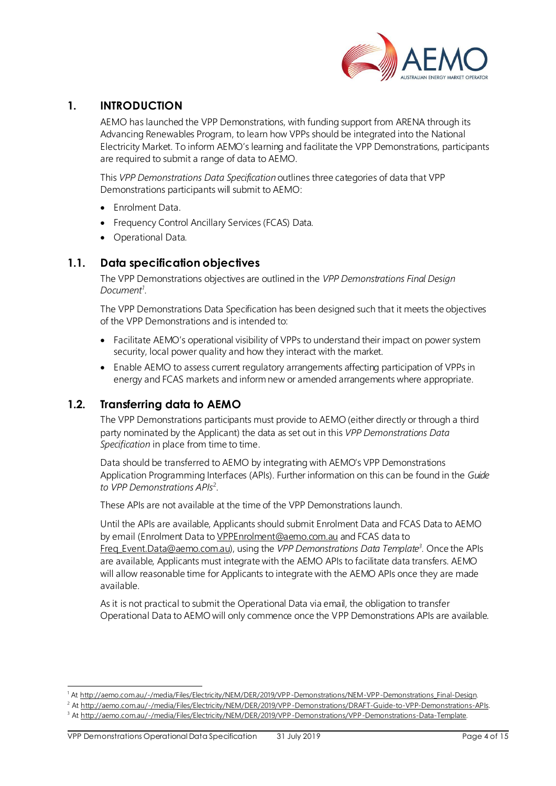

## <span id="page-3-0"></span>**1. INTRODUCTION**

AEMO has launched the VPP Demonstrations, with funding support from ARENA through its Advancing Renewables Program, to learn how VPPs should be integrated into the National Electricity Market. To inform AEMO's learning and facilitate the VPP Demonstrations, participants are required to submit a range of data to AEMO.

This *VPP Demonstrations Data Specification* outlines three categories of data that VPP Demonstrations participants will submit to AEMO:

- Enrolment Data.
- Frequency Control Ancillary Services (FCAS) Data.
- Operational Data.

## <span id="page-3-1"></span>**1.1. Data specification objectives**

The VPP Demonstrations objectives are outlined in the *VPP Demonstrations Final Design Document<sup>1</sup>* .

The VPP Demonstrations Data Specification has been designed such that it meets the objectives of the VPP Demonstrations and is intended to:

- Facilitate AEMO's operational visibility of VPPs to understand their impact on power system security, local power quality and how they interact with the market.
- Enable AEMO to assess current regulatory arrangements affecting participation of VPPs in energy and FCAS markets and inform new or amended arrangements where appropriate.

## <span id="page-3-2"></span>**1.2. Transferring data to AEMO**

The VPP Demonstrations participants must provide to AEMO (either directly or through a third party nominated by the Applicant) the data as set out in this *VPP Demonstrations Data*  Specification in place from time to time.

Data should be transferred to AEMO by integrating with AEMO's VPP Demonstrations Application Programming Interfaces (APIs). Further information on this can be found in the *Guide to VPP Demonstrations APIs*<sup>2</sup> .

These APIs are not available at the time of the VPP Demonstrations launch.

Until the APIs are available, Applicants should submit Enrolment Data and FCAS Data to AEMO by email (Enrolment Data t[o VPPEnrolment@aemo.com.au](mailto:VPPEnrolment@aemo.com.au) and FCAS data to [Freq\\_Event.Data@aemo.com.au\)](mailto:Freq_Event.Data@aemo.com.au), using the *VPP Demonstrations Data Template 3 .* Once the APIs are available, Applicants must integrate with the AEMO APIs to facilitate data transfers. AEMO will allow reasonable time for Applicants to integrate with the AEMO APIs once they are made available.

As it is not practical to submit the Operational Data via email, the obligation to transfer Operational Data to AEMO will only commence once the VPP Demonstrations APIs are available.

l

<sup>1</sup> At [http://aemo.com.au/-/media/Files/Electricity/NEM/DER/2019/VPP-Demonstrations/NEM-VPP-Demonstrations\\_Final-Design](http://aemo.com.au/-/media/Files/Electricity/NEM/DER/2019/VPP-Demonstrations/NEM-VPP-Demonstrations_Final-Design).

<sup>&</sup>lt;sup>2</sup> A[t http://aemo.com.au/-/media/Files/Electricity/NEM/DER/2019/VPP-Demonstrations/DRAFT-Guide-to-VPP-Demonstrations-APIs](http://aemo.com.au/-/media/Files/Electricity/NEM/DER/2019/VPP-Demonstrations/DRAFT-Guide-to-VPP-Demonstrations-APIs).

<sup>&</sup>lt;sup>3</sup> A[t http://aemo.com.au/-/media/Files/Electricity/NEM/DER/2019/VPP-Demonstrations/VPP-Demonstrations-Data-Template](http://aemo.com.au/-/media/Files/Electricity/NEM/DER/2019/VPP-Demonstrations/VPP-Demonstrations-Data-Template).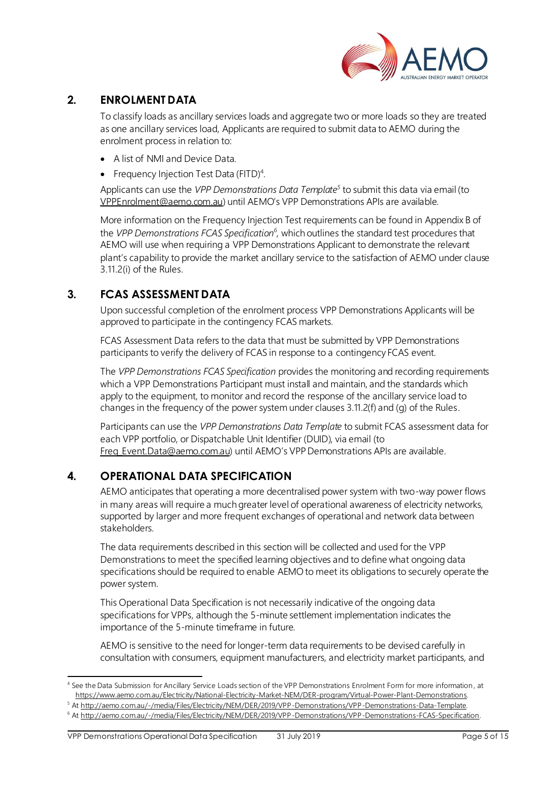

## <span id="page-4-0"></span>**2. ENROLMENT DATA**

To classify loads as ancillary services loads and aggregate two or more loads so they are treated as one ancillary services load, Applicants are required to submit data to AEMO during the enrolment process in relation to:

- A list of NMI and Device Data.
- Frequency Injection Test Data (FITD)<sup>4</sup>.

Applicants can use the *VPP Demonstrations Data Template<sup>5</sup>* to submit this data via email (to [VPPEnrolment@aemo.com.au](mailto:VPPEnrolment@aemo.com.au)) until AEMO's VPP Demonstrations APIs are available.

More information on the Frequency Injection Test requirements can be found in Appendix B of the *VPP Demonstrations FCAS Specification<sup>6</sup> ,* which outlines the standard test procedures that AEMO will use when requiring a VPP Demonstrations Applicant to demonstrate the relevant plant's capability to provide the market ancillary service to the satisfaction of AEMO under clause 3.11.2(i) of the Rules.

## <span id="page-4-1"></span>**3. FCAS ASSESSMENT DATA**

Upon successful completion of the enrolment process VPP Demonstrations Applicants will be approved to participate in the contingency FCAS markets.

FCAS Assessment Data refers to the data that must be submitted by VPP Demonstrations participants to verify the delivery of FCAS in response to a contingency FCAS event.

The *VPP Demonstrations FCAS Specification* provides the monitoring and recording requirements which a VPP Demonstrations Participant must install and maintain, and the standards which apply to the equipment, to monitor and record the response of the ancillary service load to changes in the frequency of the power system under clauses 3.11.2(f) and (g) of the Rules.

Participants can use the *VPP Demonstrations Data Template* to submit FCAS assessment data for each VPP portfolio, or Dispatchable Unit Identifier (DUID), via email (to Freq Event.Data@aemo.com.au) until AEMO's VPP Demonstrations APIs are available.

## <span id="page-4-2"></span>**4. OPERATIONAL DATA SPECIFICATION**

AEMO anticipates that operating a more decentralised power system with two-way power flows in many areas will require a much greater level of operational awareness of electricity networks, supported by larger and more frequent exchanges of operational and network data between stakeholders.

The data requirements described in this section will be collected and used for the VPP Demonstrations to meet the specified learning objectives and to define what ongoing data specifications should be required to enable AEMO to meet its obligations to securely operate the power system.

This Operational Data Specification is not necessarily indicative of the ongoing data specifications for VPPs, although the 5-minute settlement implementation indicates the importance of the 5-minute timeframe in future.

AEMO is sensitive to the need for longer-term data requirements to be devised carefully in consultation with consumers, equipment manufacturers, and electricity market participants, and

l 4 See the Data Submission for Ancillary Service Loads section of the VPP Demonstrations Enrolment Form for more information , at [https://www.aemo.com.au/Electricity/National-Electricity-Market-NEM/DER-program/Virtual-Power-Plant-Demonstrations.](https://www.aemo.com.au/Electricity/National-Electricity-Market-NEM/DER-program/Virtual-Power-Plant-Demonstrations)

<sup>5</sup> A[t http://aemo.com.au/-/media/Files/Electricity/NEM/DER/2019/VPP-Demonstrations/VPP-Demonstrations-Data-Template](http://aemo.com.au/-/media/Files/Electricity/NEM/DER/2019/VPP-Demonstrations/VPP-Demonstrations-Data-Template).

<sup>6</sup> A[t http://aemo.com.au/-/media/Files/Electricity/NEM/DER/2019/VPP-Demonstrations/VPP-Demonstrations-FCAS-Specification](http://aemo.com.au/-/media/Files/Electricity/NEM/DER/2019/VPP-Demonstrations/VPP-Demonstrations-FCAS-Specification).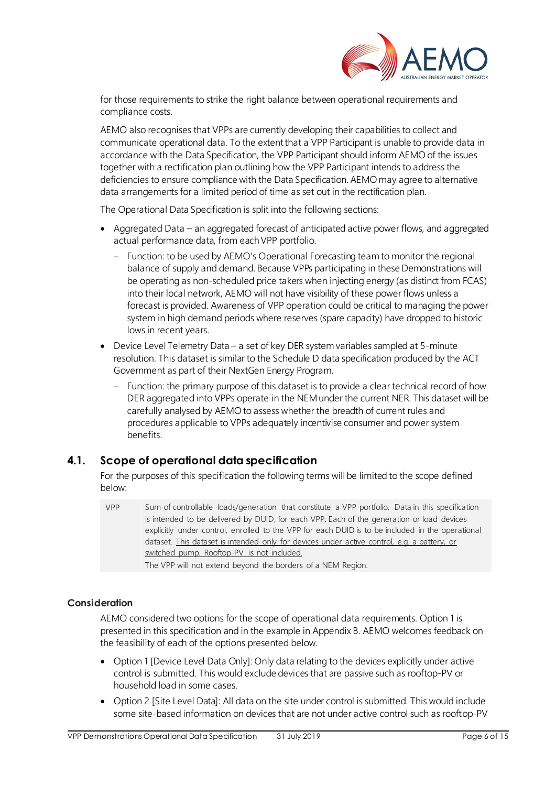

for those requirements to strike the right balance between operational requirements and compliance costs.

AEMO also recognises that VPPs are currently developing their capabilities to collect and communicate operational data. To the extent that a VPP Participant is unable to provide data in accordance with the Data Specification, the VPP Participant should inform AEMO of the issues together with a rectification plan outlining how the VPP Participant intends to address the deficiencies to ensure compliance with the Data Specification. AEMO may agree to alternative data arrangements for a limited period of time as set out in the rectification plan.

The Operational Data Specification is split into the following sections:

- Aggregated Data an aggregated forecast of anticipated active power flows, and aggregated actual performance data, from each VPP portfolio.
	- − Function: to be used by AEMO's Operational Forecasting team to monitor the regional balance of supply and demand. Because VPPs participating in these Demonstrations will be operating as non-scheduled price takers when injecting energy (as distinct from FCAS) into their local network, AEMO will not have visibility of these power flows unless a forecast is provided. Awareness of VPP operation could be critical to managing the power system in high demand periods where reserves (spare capacity) have dropped to historic lows in recent years.
- Device Level Telemetry Data a set of key DER system variables sampled at 5-minute resolution. This dataset is similar to the Schedule D data specification produced by the ACT Government as part of their NextGen Energy Program.
	- Function: the primary purpose of this dataset is to provide a clear technical record of how DER aggregated into VPPs operate in the NEM under the current NER. This dataset will be carefully analysed by AEMO to assess whether the breadth of current rules and procedures applicable to VPPs adequately incentivise consumer and power system benefits.

## <span id="page-5-0"></span>**4.1. Scope of operational data specification**

For the purposes of this specification the following terms will be limited to the scope defined below:

The VPP will not extend beyond the borders of a NEM Region.

## **Consideration**

AEMO considered two options for the scope of operational data requirements. Option 1 is presented in this specification and in the example in Appendix B. AEMO welcomes feedback on the feasibility of each of the options presented below.

- Option 1 [Device Level Data Only]: Only data relating to the devices explicitly under active control is submitted. This would exclude devices that are passive such as rooftop-PV or household load in some cases.
- Option 2 [Site Level Data]: All data on the site under control is submitted. This would include some site-based information on devices that are not under active control such as rooftop-PV

VPP Sum of controllable loads/generation that constitute a VPP portfolio. Data in this specification is intended to be delivered by DUID, for each VPP. Each of the generation or load devices explicitly under control, enrolled to the VPP for each DUID is to be included in the operational dataset. This dataset is intended only for devices under active control, e.g. a battery, or switched pump. Rooftop-PV is not included.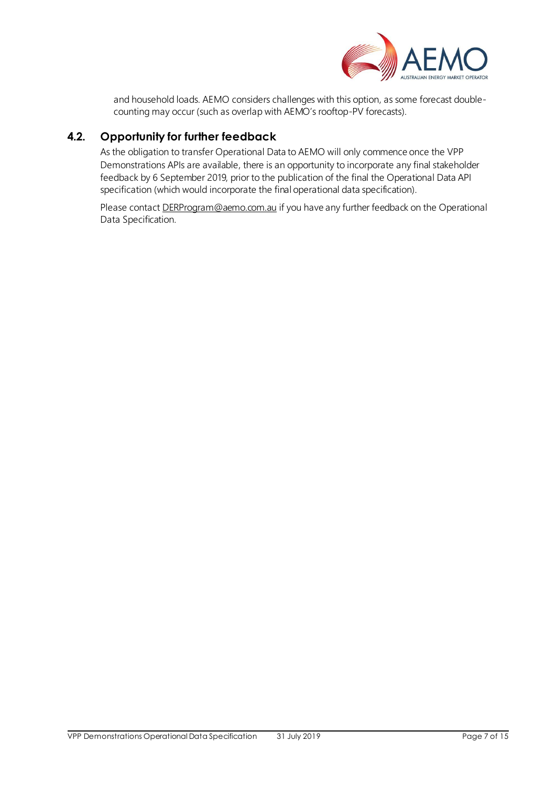

and household loads. AEMO considers challenges with this option, as some forecast doublecounting may occur (such as overlap with AEMO's rooftop-PV forecasts).

## <span id="page-6-0"></span>**4.2. Opportunity for further feedback**

As the obligation to transfer Operational Data to AEMO will only commence once the VPP Demonstrations APIs are available, there is an opportunity to incorporate any final stakeholder feedback by 6 September 2019, prior to the publication of the final the Operational Data API specification (which would incorporate the final operational data specification).

Please contact **DERProgram@aemo.com.au** if you have any further feedback on the Operational Data Specification.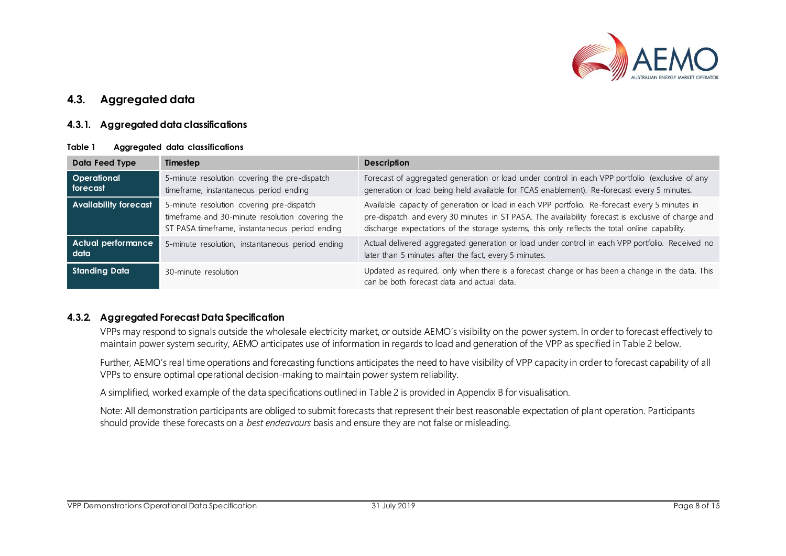

## **4.3. Aggregated data**

## **4.3.1. Aggregated data classifications**

#### **Table 1 Aggregated data classifications**

| Data Feed Type                    | Timestep                                                                                                                                       | <b>Description</b>                                                                                                                                                                                                                                                                                     |
|-----------------------------------|------------------------------------------------------------------------------------------------------------------------------------------------|--------------------------------------------------------------------------------------------------------------------------------------------------------------------------------------------------------------------------------------------------------------------------------------------------------|
| <b>Operational</b><br>forecast    | 5-minute resolution covering the pre-dispatch<br>timeframe, instantaneous period ending                                                        | Forecast of aggregated generation or load under control in each VPP portfolio (exclusive of any<br>generation or load being held available for FCAS enablement). Re-forecast every 5 minutes.                                                                                                          |
| <b>Availability forecast</b>      | 5-minute resolution covering pre-dispatch<br>timeframe and 30-minute resolution covering the<br>ST PASA timeframe, instantaneous period ending | Available capacity of generation or load in each VPP portfolio. Re-forecast every 5 minutes in<br>pre-dispatch and every 30 minutes in ST PASA. The availability forecast is exclusive of charge and<br>discharge expectations of the storage systems, this only reflects the total online capability. |
| <b>Actual performance</b><br>data | 5-minute resolution, instantaneous period ending                                                                                               | Actual delivered aggregated generation or load under control in each VPP portfolio. Received no<br>later than 5 minutes after the fact, every 5 minutes.                                                                                                                                               |
| Standing Data                     | 30-minute resolution                                                                                                                           | Updated as required, only when there is a forecast change or has been a change in the data. This<br>can be both forecast data and actual data.                                                                                                                                                         |

#### <span id="page-7-0"></span>**4.3.2. Aggregated Forecast Data Specification**

VPPs may respond to signals outside the wholesale electricity market, or outside AEMO's visibility on the power system. In order to forecast effectively to maintain power system security, AEMO anticipates use of information in regards to load and generation of the VPP as specified in Table 2 below.

<span id="page-7-1"></span>Further, AEMO's real time operations and forecasting functions anticipates the need to have visibility of VPP capacity in order to forecast capability of all VPPs to ensure optimal operational decision-making to maintain power system reliability.

A simplified, worked example of the data specifications outlined in Table 2 is provided in Appendix B for visualisation.

Note: All demonstration participants are obliged to submit forecasts that represent their best reasonable expectation of plant operation. Participants should provide these forecasts on a *best endeavours* basis and ensure they are not false or misleading.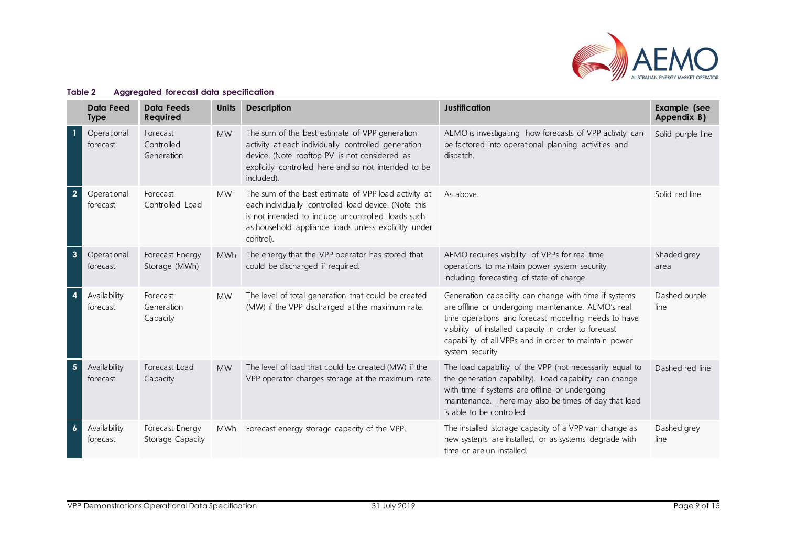

<span id="page-8-0"></span>

|                         | Data Feed<br><b>Type</b> | Data Feeds<br>Required               | <b>Units</b> | <b>Description</b>                                                                                                                                                                                                                      | <b>Justification</b>                                                                                                                                                                                                                                                                                      | <b>Example</b> (see<br>Appendix B) |
|-------------------------|--------------------------|--------------------------------------|--------------|-----------------------------------------------------------------------------------------------------------------------------------------------------------------------------------------------------------------------------------------|-----------------------------------------------------------------------------------------------------------------------------------------------------------------------------------------------------------------------------------------------------------------------------------------------------------|------------------------------------|
| $\overline{1}$          | Operational<br>forecast  | Forecast<br>Controlled<br>Generation | <b>MW</b>    | The sum of the best estimate of VPP generation<br>activity at each individually controlled generation<br>device. (Note rooftop-PV is not considered as<br>explicitly controlled here and so not intended to be<br>included).            | AEMO is investigating how forecasts of VPP activity can<br>be factored into operational planning activities and<br>dispatch.                                                                                                                                                                              | Solid purple line                  |
| $\overline{2}$          | Operational<br>forecast  | Forecast<br>Controlled Load          | <b>MW</b>    | The sum of the best estimate of VPP load activity at<br>each individually controlled load device. (Note this<br>is not intended to include uncontrolled loads such<br>as household appliance loads unless explicitly under<br>control). | As above.                                                                                                                                                                                                                                                                                                 | Solid red line                     |
| $\mathbf{3}$            | Operational<br>forecast  | Forecast Energy<br>Storage (MWh)     | <b>MWh</b>   | The energy that the VPP operator has stored that<br>could be discharged if required.                                                                                                                                                    | AEMO requires visibility of VPPs for real time<br>operations to maintain power system security,<br>including forecasting of state of charge.                                                                                                                                                              | Shaded grey<br>area                |
| $\overline{\mathbf{4}}$ | Availability<br>forecast | Forecast<br>Generation<br>Capacity   | <b>MW</b>    | The level of total generation that could be created<br>(MW) if the VPP discharged at the maximum rate.                                                                                                                                  | Generation capability can change with time if systems<br>are offline or undergoing maintenance. AEMO's real<br>time operations and forecast modelling needs to have<br>visibility of installed capacity in order to forecast<br>capability of all VPPs and in order to maintain power<br>system security. | Dashed purple<br>line              |
| $\overline{\mathbf{5}}$ | Availability<br>forecast | Forecast Load<br>Capacity            | <b>MW</b>    | The level of load that could be created (MW) if the<br>VPP operator charges storage at the maximum rate.                                                                                                                                | The load capability of the VPP (not necessarily equal to<br>the generation capability). Load capability can change<br>with time if systems are offline or undergoing<br>maintenance. There may also be times of day that load<br>is able to be controlled.                                                | Dashed red line                    |
| $\boldsymbol{6}$        | Availability<br>forecast | Forecast Energy<br>Storage Capacity  | MWh          | Forecast energy storage capacity of the VPP.                                                                                                                                                                                            | The installed storage capacity of a VPP van change as<br>new systems are installed, or as systems degrade with<br>time or are un-installed.                                                                                                                                                               | Dashed grey<br>line                |

#### **Table 2 Aggregated forecast data specification**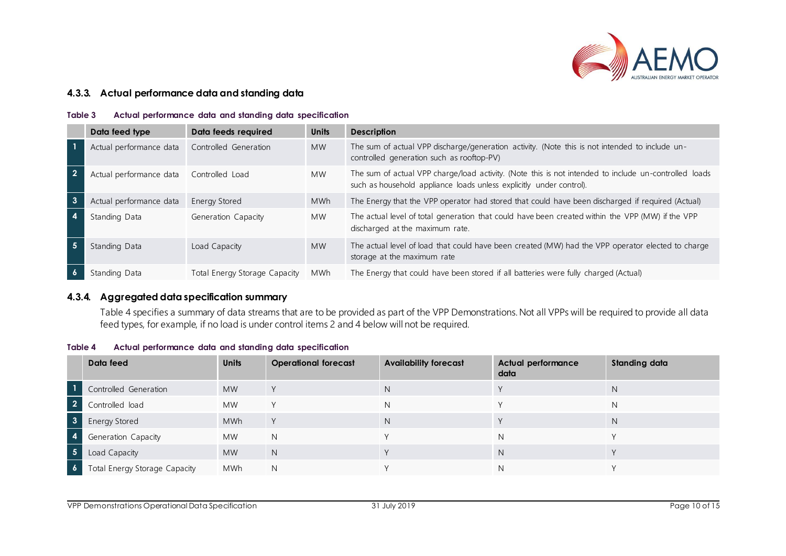

### **4.3.3. Actual performance data and standing data**

#### **Table 3 Actual performance data and standing data specification**

|   | Data feed type                           | Data feeds required           | <b>Units</b> | <b>Description</b>                                                                                                                                                           |
|---|------------------------------------------|-------------------------------|--------------|------------------------------------------------------------------------------------------------------------------------------------------------------------------------------|
|   | Actual performance data                  | Controlled Generation         | <b>MW</b>    | The sum of actual VPP discharge/generation activity. (Note this is not intended to include un-<br>controlled generation such as rooftop-PV)                                  |
|   | Actual performance data  Controlled Load |                               | <b>MW</b>    | The sum of actual VPP charge/load activity. (Note this is not intended to include un-controlled loads<br>such as household appliance loads unless explicitly under control). |
| 3 | Actual performance data                  | <b>Energy Stored</b>          | <b>MWh</b>   | The Energy that the VPP operator had stored that could have been discharged if required (Actual)                                                                             |
|   | Standing Data                            | Generation Capacity           | <b>MW</b>    | The actual level of total generation that could have been created within the VPP (MW) if the VPP<br>discharged at the maximum rate.                                          |
|   | Standing Data                            | Load Capacity                 | <b>MW</b>    | The actual level of load that could have been created (MW) had the VPP operator elected to charge<br>storage at the maximum rate                                             |
|   | Standing Data                            | Total Energy Storage Capacity | MWh          | The Energy that could have been stored if all batteries were fully charged (Actual)                                                                                          |

## **4.3.4. Aggregated data specification summary**

Table 4 specifies a summary of data streams that are to be provided as part of the VPP Demonstrations. Not all VPPs will be required to provide all data feed types, for example, if no load is under control items 2 and 4 below will not be required.

<span id="page-9-0"></span>

| Table 4 |  | Actual performance data and standing data specification |  |  |  |  |  |
|---------|--|---------------------------------------------------------|--|--|--|--|--|
|---------|--|---------------------------------------------------------|--|--|--|--|--|

<span id="page-9-1"></span>

|                      | Data feed                     | <b>Units</b> | <b>Operational forecast</b> | <b>Availability forecast</b> | <b>Actual performance</b><br>data | <b>Standing data</b> |
|----------------------|-------------------------------|--------------|-----------------------------|------------------------------|-----------------------------------|----------------------|
|                      | Controlled Generation         | <b>MW</b>    | $\vee$                      | <sup>N</sup>                 |                                   | N                    |
| $\overline{2}$       | Controlled load               | <b>MW</b>    | $\vee$                      | N                            |                                   | N                    |
| $\mathbf{3}$         | <b>Energy Stored</b>          | <b>MWh</b>   | $\vee$                      | <sup>N</sup>                 |                                   | N.                   |
| 4                    | Generation Capacity           | <b>MW</b>    | N                           |                              | N.                                |                      |
| <b>5</b>             | Load Capacity                 | <b>MW</b>    | N                           |                              | N                                 |                      |
| $\ddot{\phantom{0}}$ | Total Energy Storage Capacity | <b>MWh</b>   | N                           |                              | Ν                                 |                      |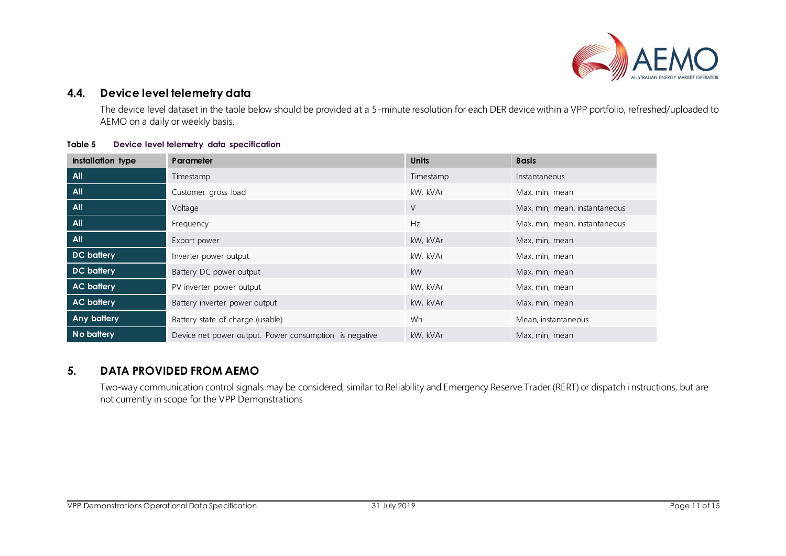

## **4.4. Device level telemetry data**

The device level dataset in the table below should be provided at a 5-minute resolution for each DER device within a VPP portfolio, refreshed/uploaded to AEMO on a daily or weekly basis.

#### **Table 5 Device level telemetry data specification**

| <b>Installation type</b> | <b>Parameter</b>                                       | <b>Units</b> | <b>Basis</b>                  |
|--------------------------|--------------------------------------------------------|--------------|-------------------------------|
| <b>All</b>               | Timestamp                                              | Timestamp    | Instantaneous                 |
| <b>All</b>               | Customer gross load                                    | kW, kVAr     | Max, min, mean                |
| <b>All</b>               | Voltage                                                | V            | Max, min, mean, instantaneous |
| <b>All</b>               | Frequency                                              | Hz           | Max, min, mean, instantaneous |
| <b>All</b>               | Export power                                           | kW, kVAr     | Max, min, mean                |
| <b>DC</b> battery        | Inverter power output                                  | kW, kVAr     | Max, min, mean                |
| <b>DC</b> battery        | Battery DC power output                                | <b>kW</b>    | Max, min, mean                |
| <b>AC battery</b>        | PV inverter power output                               | kW, kVAr     | Max, min, mean                |
| <b>AC battery</b>        | Battery inverter power output                          | kW, kVAr     | Max, min, mean                |
| <b>Any battery</b>       | Battery state of charge (usable)                       | Wh           | Mean, instantaneous           |
| No battery               | Device net power output. Power consumption is negative | kW, kVAr     | Max, min, mean                |

## <span id="page-10-2"></span><span id="page-10-0"></span>**5. DATA PROVIDED FROM AEMO**

<span id="page-10-1"></span>Two-way communication control signals may be considered, similar to Reliability and Emergency Reserve Trader (RERT) or dispatch instructions, but are not currently in scope for the VPP Demonstrations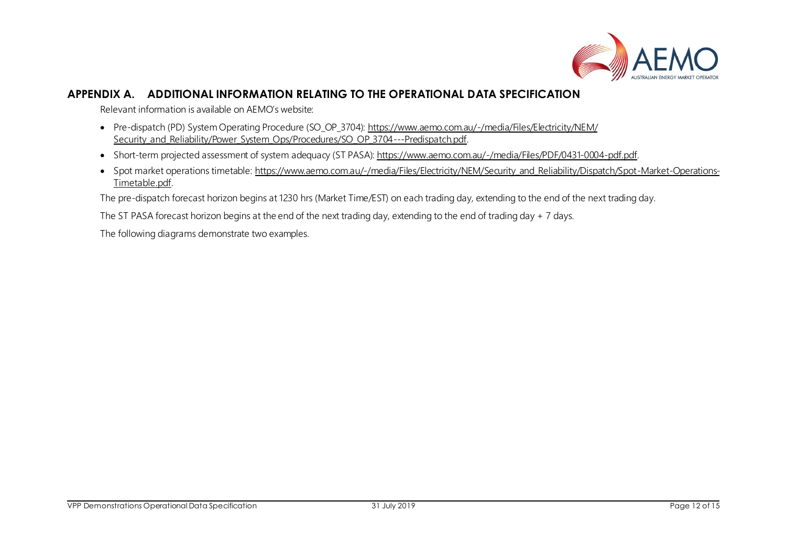

## **APPENDIX A. ADDITIONAL INFORMATION RELATING TO THE OPERATIONAL DATA SPECIFICATION**

Relevant information is available on AEMO's website:

- Pre-dispatch (PD) System Operating Procedure (SO\_OP\_3704)[: https://www.aemo.com.au/-/media/Files/Electricity/NEM/](https://www.aemo.com.au/-/media/Files/Electricity/NEM/Security_and_Reliability/Power_System_Ops/Procedures/SO_OP_3704---Predispatch.pdf) [Security\\_and\\_Reliability/Power\\_System\\_Ops/Procedures/SO\\_OP\\_3704---Predispatch.pdf](https://www.aemo.com.au/-/media/Files/Electricity/NEM/Security_and_Reliability/Power_System_Ops/Procedures/SO_OP_3704---Predispatch.pdf).
- Short-term projected assessment of system adequacy (ST PASA): <https://www.aemo.com.au/-/media/Files/PDF/0431-0004-pdf.pdf>.
- Spot market operations timetable[: https://www.aemo.com.au/-/media/Files/Electricity/NEM/Security\\_and\\_Reliability/Dispatch/Spot-Market-Operations-](https://www.aemo.com.au/-/media/Files/Electricity/NEM/Security_and_Reliability/Dispatch/Spot-Market-Operations-Timetable.pdf)[Timetable.pdf](https://www.aemo.com.au/-/media/Files/Electricity/NEM/Security_and_Reliability/Dispatch/Spot-Market-Operations-Timetable.pdf).

The pre-dispatch forecast horizon begins at 1230 hrs (Market Time/EST) on each trading day, extending to the end of the next trading day.

The ST PASA forecast horizon begins at the end of the next trading day, extending to the end of trading day + 7 days.

<span id="page-11-0"></span>The following diagrams demonstrate two examples.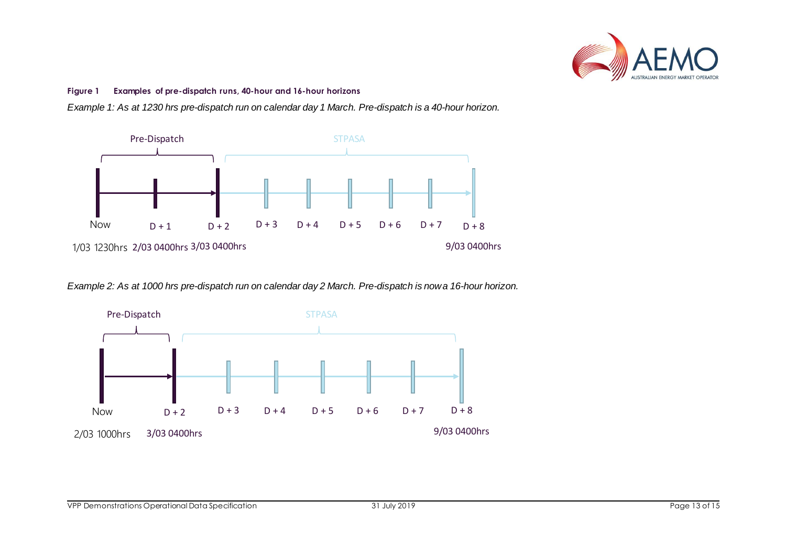

#### **Figure 1 Examples of pre-dispatch runs, 40-hour and 16-hour horizons**

*Example 1: As at 1230 hrs pre-dispatch run on calendar day 1 March. Pre-dispatch is a 40-hour horizon.*



*Example 2: As at 1000 hrs pre-dispatch run on calendar day 2 March. Pre-dispatch is now a 16-hour horizon.*

<span id="page-12-0"></span>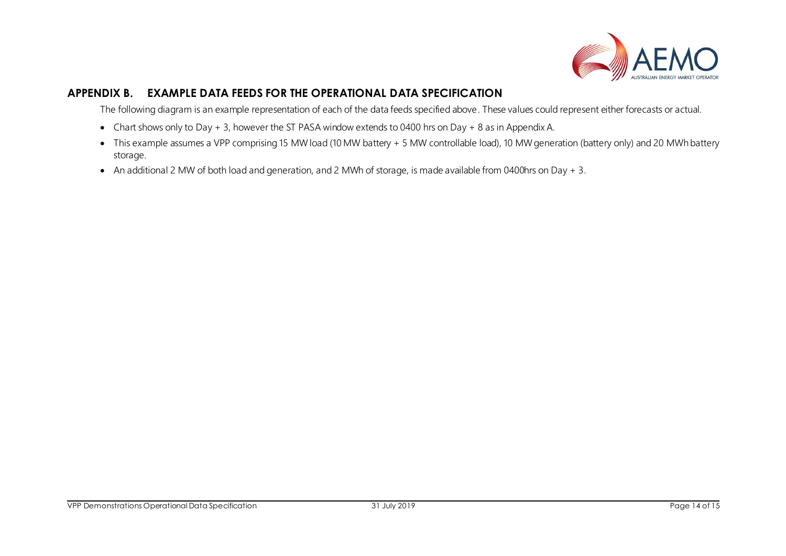

## **APPENDIX B. EXAMPLE DATA FEEDS FOR THE OPERATIONAL DATA SPECIFICATION**

The following diagram is an example representation of each of the data feeds specified above. These values could represent either forecasts or actual.

- Chart shows only to Day + 3, however the ST PASA window extends to 0400 hrs on Day + 8 as in Appendix A.
- This example assumes a VPP comprising 15 MW load (10 MW battery + 5 MW controllable load), 10 MW generation (battery only) and 20 MWh battery storage.
- <span id="page-13-0"></span>• An additional 2 MW of both load and generation, and 2 MWh of storage, is made available from 0400hrs on Day + 3.